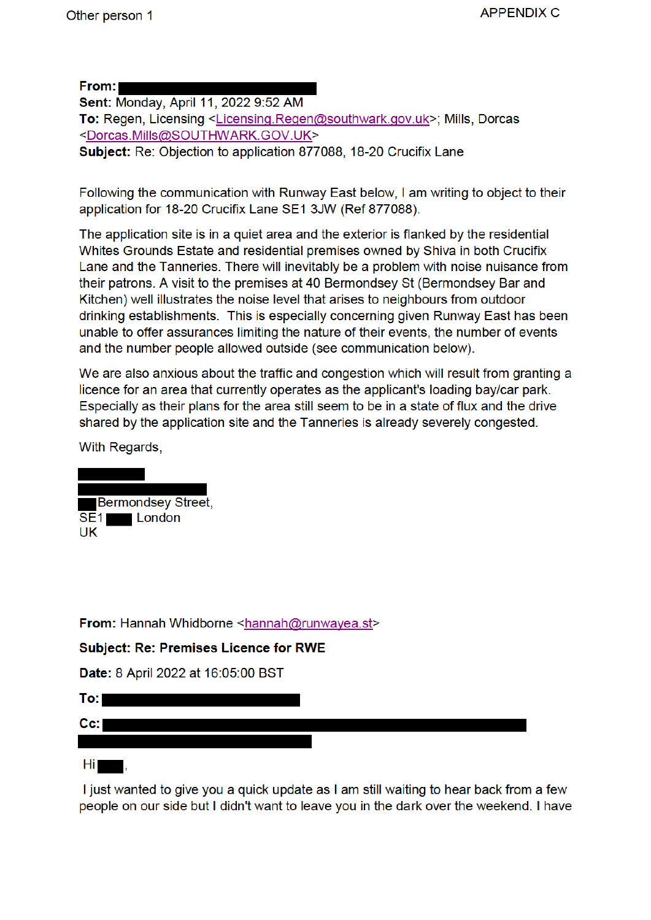From: I

Sent: Monday, April 11, 2022 9:52 AM To: Regen, Licensing <Licensing.Regen@southwark.gov.uk>; Mills, Dorcas <Dorcas.Mills@SOUTHWARK.GOV.UK> Subject: Re: Objection to application 877088, 18-20 Crucifix Lane

Following the communication with Runway East below, I am writing to object to their application for 18-20 Crucifix Lane SE1 3JW (Ref 877088).

The application site is in a quiet area and the exterior is flanked by the residential Whites Grounds Estate and residential premises owned by Shiva in both Crucifix Lane and the Tanneries. There will inevitably be a problem with noise nuisance from their patrons. A visit to the premises at 40 Bermondsey St (Bermondsey Bar and Kitchen) well illustrates the noise level that arises to neighbours from outdoor drinking establishments. This is especially concerning given Runway East has been unable to offer assurances limiting the nature of their events, the number of events and the number people allowed outside (see communication below).

We are also anxious about the traffic and congestion which will result from granting a licence for an area that currently operates as the applicant's loading bay/car park. Especially as their plans for the area still seem to be in a state of flux and the drive shared by the application site and the Tanneries is already severely congested.

With Regards,

**Bermondsey Street,**  $\overline{SE1}$  London **UK** 

From: Hannah Whidborne <hannah@runwayea.st>

**Subject: Re: Premises Licence for RWE** 

Date: 8 April 2022 at 16:05:00 BST

 $To: \blacksquare$  $Cc: I$ 

Hi I

I just wanted to give you a quick update as I am still waiting to hear back from a few people on our side but I didn't want to leave you in the dark over the weekend. I have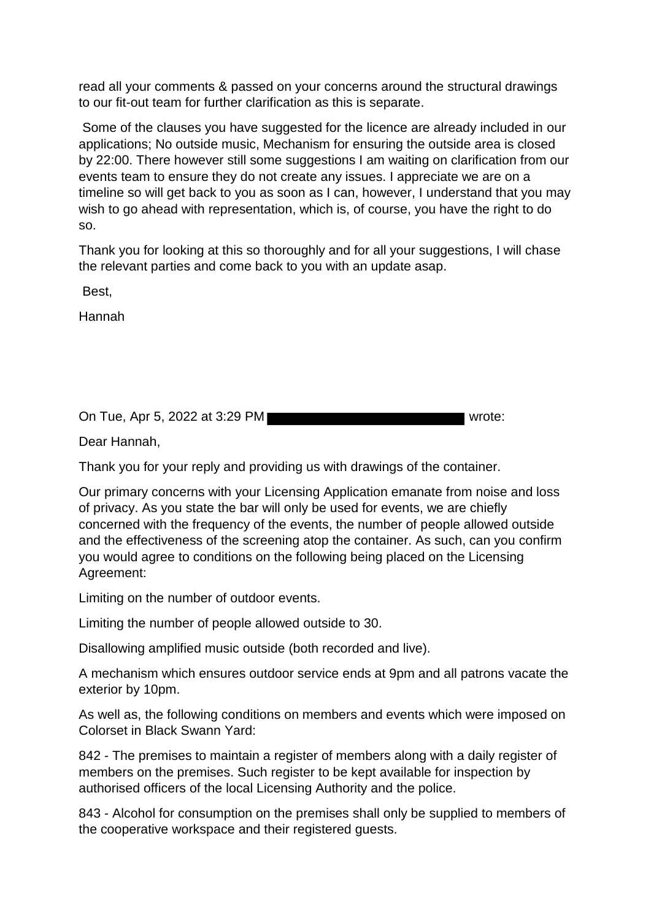read all your comments & passed on your concerns around the structural drawings to our fit-out team for further clarification as this is separate.

Some of the clauses you have suggested for the licence are already included in our applications; No outside music, Mechanism for ensuring the outside area is closed by 22:00. There however still some suggestions I am waiting on clarification from our events team to ensure they do not create any issues. I appreciate we are on a timeline so will get back to you as soon as I can, however, I understand that you may wish to go ahead with representation, which is, of course, you have the right to do so.

Thank you for looking at this so thoroughly and for all your suggestions, I will chase the relevant parties and come back to you with an update asap.

Best,

Hannah

On Tue, Apr 5, 2022 at 3:29 PM

Dear Hannah,

Thank you for your reply and providing us with drawings of the container.

Our primary concerns with your Licensing Application emanate from noise and loss of privacy. As you state the bar will only be used for events, we are chiefly concerned with the frequency of the events, the number of people allowed outside and the effectiveness of the screening atop the container. As such, can you confirm you would agree to conditions on the following being placed on the Licensing Agreement:

Limiting on the number of outdoor events.

Limiting the number of people allowed outside to 30.

Disallowing amplified music outside (both recorded and live).

A mechanism which ensures outdoor service ends at 9pm and all patrons vacate the exterior by 10pm.

As well as, the following conditions on members and events which were imposed on Colorset in Black Swann Yard:

842 - The premises to maintain a register of members along with a daily register of members on the premises. Such register to be kept available for inspection by authorised officers of the local Licensing Authority and the police.

843 - Alcohol for consumption on the premises shall only be supplied to members of the cooperative workspace and their registered guests.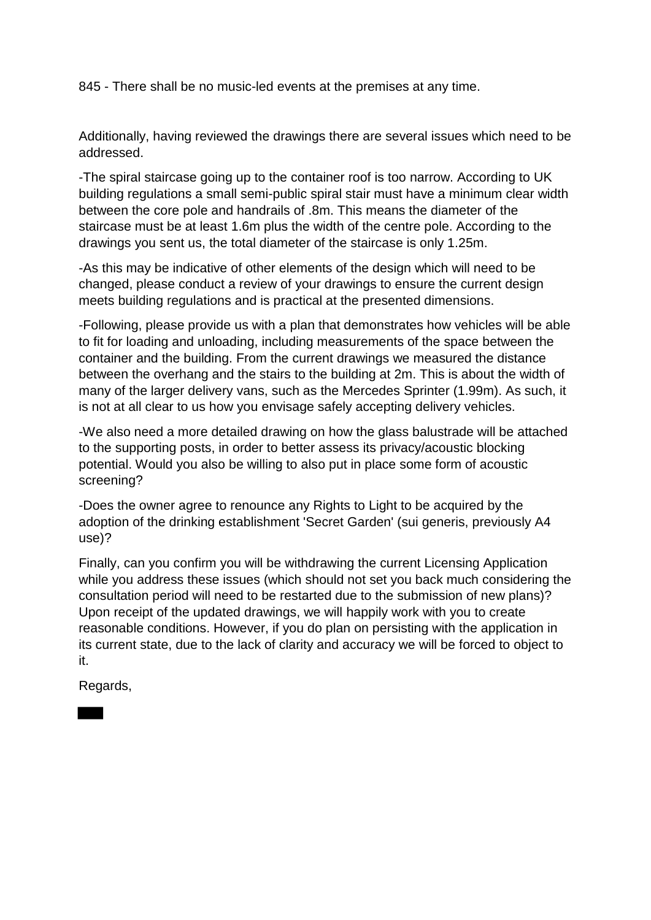845 - There shall be no music-led events at the premises at any time.

Additionally, having reviewed the drawings there are several issues which need to be addressed.

-The spiral staircase going up to the container roof is too narrow. According to UK building regulations a small semi-public spiral stair must have a minimum clear width between the core pole and handrails of .8m. This means the diameter of the staircase must be at least 1.6m plus the width of the centre pole. According to the drawings you sent us, the total diameter of the staircase is only 1.25m.

-As this may be indicative of other elements of the design which will need to be changed, please conduct a review of your drawings to ensure the current design meets building regulations and is practical at the presented dimensions.

-Following, please provide us with a plan that demonstrates how vehicles will be able to fit for loading and unloading, including measurements of the space between the container and the building. From the current drawings we measured the distance between the overhang and the stairs to the building at 2m. This is about the width of many of the larger delivery vans, such as the Mercedes Sprinter (1.99m). As such, it is not at all clear to us how you envisage safely accepting delivery vehicles.

-We also need a more detailed drawing on how the glass balustrade will be attached to the supporting posts, in order to better assess its privacy/acoustic blocking potential. Would you also be willing to also put in place some form of acoustic screening?

-Does the owner agree to renounce any Rights to Light to be acquired by the adoption of the drinking establishment 'Secret Garden' (sui generis, previously A4 use)?

Finally, can you confirm you will be withdrawing the current Licensing Application while you address these issues (which should not set you back much considering the consultation period will need to be restarted due to the submission of new plans)? Upon receipt of the updated drawings, we will happily work with you to create reasonable conditions. However, if you do plan on persisting with the application in its current state, due to the lack of clarity and accuracy we will be forced to object to it.

Regards,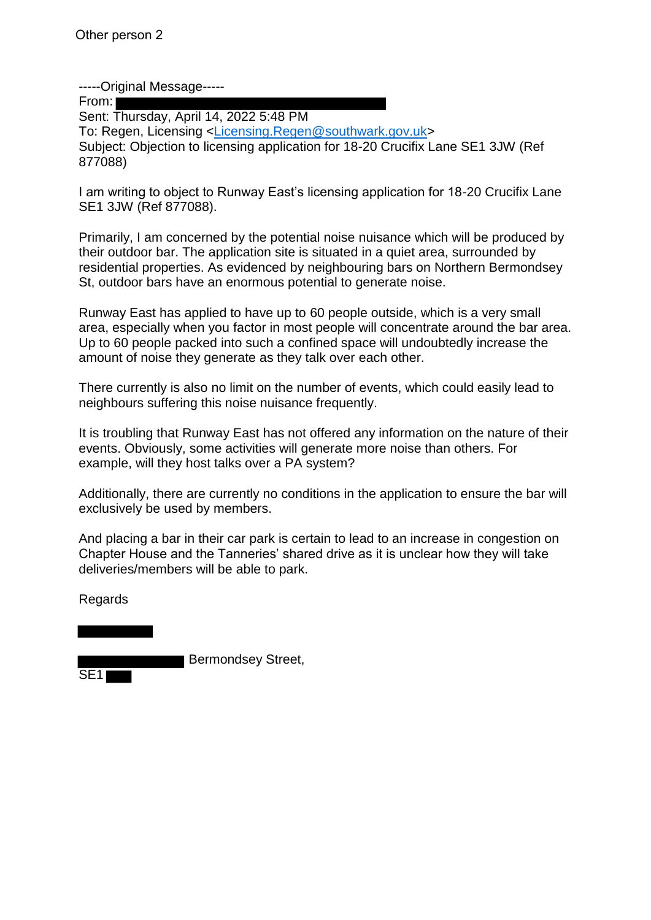-----Original Message-----

From:

Sent: Thursday, April 14, 2022 5:48 PM To: Regen, Licensing <Licensing.Regen@southwark.gov.uk> Subject: Objection to licensing application for 18-20 Crucifix Lane SE1 3JW (Ref 877088)

I am writing to object to Runway East's licensing application for 18-20 Crucifix Lane SE1 3JW (Ref 877088).

Primarily, I am concerned by the potential noise nuisance which will be produced by their outdoor bar. The application site is situated in a quiet area, surrounded by residential properties. As evidenced by neighbouring bars on Northern Bermondsey St, outdoor bars have an enormous potential to generate noise.

Runway East has applied to have up to 60 people outside, which is a very small area, especially when you factor in most people will concentrate around the bar area. Up to 60 people packed into such a confined space will undoubtedly increase the amount of noise they generate as they talk over each other.

There currently is also no limit on the number of events, which could easily lead to neighbours suffering this noise nuisance frequently.

It is troubling that Runway East has not offered any information on the nature of their events. Obviously, some activities will generate more noise than others. For example, will they host talks over a PA system?

Additionally, there are currently no conditions in the application to ensure the bar will exclusively be used by members.

And placing a bar in their car park is certain to lead to an increase in congestion on Chapter House and the Tanneries' shared drive as it is unclear how they will take deliveries/members will be able to park.

Regards

 Bermondsey Street, SE1